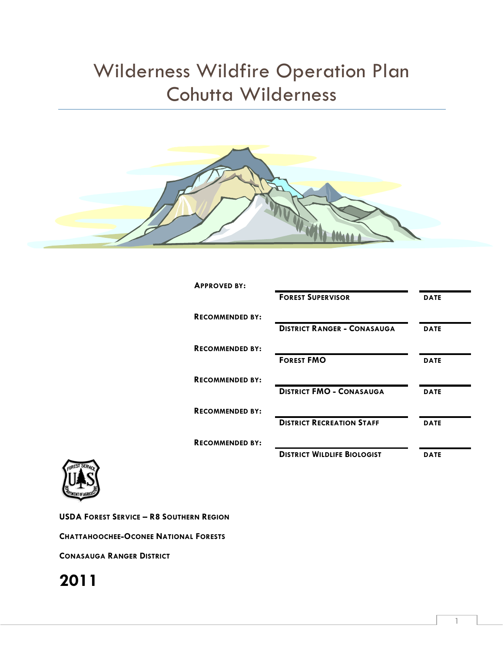# Wilderness Wildfire Operation Plan Cohutta Wilderness



| <b>APPROVED BY:</b>    |                                    |             |
|------------------------|------------------------------------|-------------|
|                        | <b>FOREST SUPERVISOR</b>           | <b>DATE</b> |
| <b>RECOMMENDED BY:</b> |                                    |             |
|                        | <b>DISTRICT RANGER - CONASAUGA</b> | <b>DATE</b> |
| <b>RECOMMENDED BY:</b> |                                    |             |
|                        | <b>FOREST FMO</b>                  | <b>DATE</b> |
| <b>RECOMMENDED BY:</b> |                                    |             |
|                        | <b>DISTRICT FMO - CONASAUGA</b>    | <b>DATE</b> |
| <b>RECOMMENDED BY:</b> |                                    |             |
|                        | <b>DISTRICT RECREATION STAFF</b>   | <b>DATE</b> |
| <b>RECOMMENDED BY:</b> |                                    |             |
|                        | <b>DISTRICT WILDLIFE BIOLOGIST</b> | <b>DATE</b> |



**USDA FOREST SERVICE – R8 SOUTHERN REGION**

**CHATTAHOOCHEE-OCONEE NATIONAL FORESTS**

**CONASAUGA RANGER DISTRICT**

## **2011**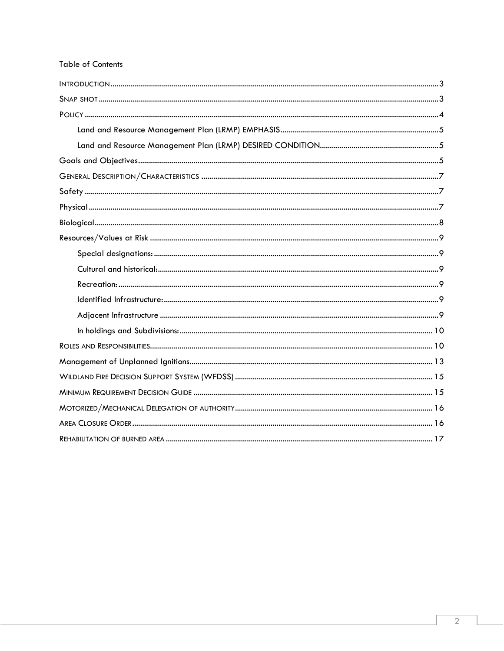#### **Table of Contents**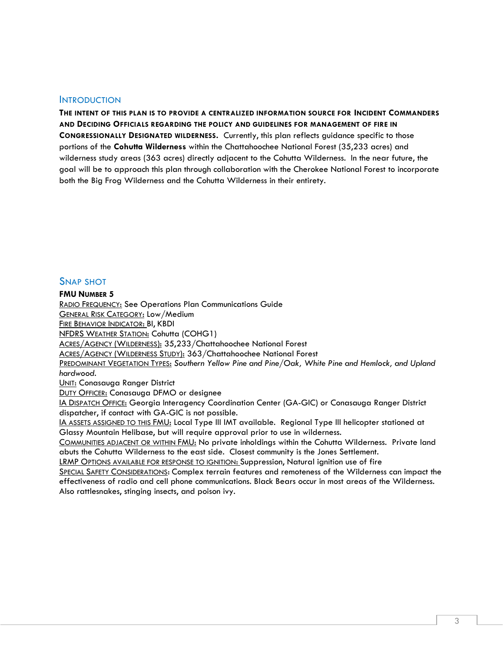#### <span id="page-2-0"></span>**INTRODUCTION**

**THE INTENT OF THIS PLAN IS TO PROVIDE A CENTRALIZED INFORMATION SOURCE FOR INCIDENT COMMANDERS AND DECIDING OFFICIALS REGARDING THE POLICY AND GUIDELINES FOR MANAGEMENT OF FIRE IN CONGRESSIONALLY DESIGNATED WILDERNESS.** Currently, this plan reflects guidance specific to those portions of the **Cohutta Wilderness** within the Chattahoochee National Forest (35,233 acres) and wilderness study areas (363 acres) directly adjacent to the Cohutta Wilderness. In the near future, the goal will be to approach this plan through collaboration with the Cherokee National Forest to incorporate both the Big Frog Wilderness and the Cohutta Wilderness in their entirety.

### <span id="page-2-1"></span>SNAP SHOT

#### **FMU NUMBER 5**

RADIO FREQUENCY: See Operations Plan Communications Guide GENERAL RISK CATEGORY: Low/Medium FIRE BEHAVIOR INDICATOR: BI, KBDI NFDRS WEATHER STATION: Cohutta (COHG1) ACRES/AGENCY (WILDERNESS): 35,233/Chattahoochee National Forest ACRES/AGENCY (WILDERNESS STUDY): 363/Chattahoochee National Forest PREDOMINANT VEGETATION TYPES: *Southern Yellow Pine and Pine/Oak, White Pine and Hemlock, and Upland hardwood.* UNIT: Conasauga Ranger District **DUTY OFFICER: Conasauga DFMO or designee** IA DISPATCH OFFICE: Georgia Interagency Coordination Center (GA-GIC) or Conasauga Ranger District dispatcher, if contact with GA-GIC is not possible. IA ASSETS ASSIGNED TO THIS FMU: Local Type III IMT available. Regional Type III helicopter stationed at Glassy Mountain Helibase, but will require approval prior to use in wilderness. COMMUNITIES ADJACENT OR WITHIN FMU: No private inholdings within the Cohutta Wilderness. Private land

abuts the Cohutta Wilderness to the east side. Closest community is the Jones Settlement. LRMP OPTIONS AVAILABLE FOR RESPONSE TO IGNITION: Suppression, Natural ignition use of fire

SPECIAL SAFETY CONSIDERATIONS: Complex terrain features and remoteness of the Wilderness can impact the effectiveness of radio and cell phone communications. Black Bears occur in most areas of the Wilderness. Also rattlesnakes, stinging insects, and poison ivy.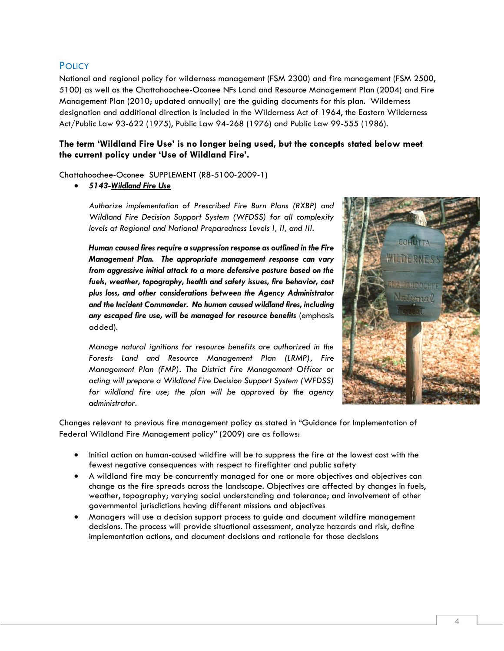### <span id="page-3-0"></span>**POLICY**

National and regional policy for wilderness management (FSM 2300) and fire management (FSM 2500, 5100) as well as the Chattahoochee-Oconee NFs Land and Resource Management Plan (2004) and Fire Management Plan (2010; updated annually) are the guiding documents for this plan. Wilderness designation and additional direction is included in the Wilderness Act of 1964, the Eastern Wilderness Act/Public Law 93-622 (1975), Public Law 94-268 (1976) and Public Law 99-555 (1986).

#### **The term 'Wildland Fire Use' is no longer being used, but the concepts stated below meet the current policy under 'Use of Wildland Fire'.**

Chattahoochee-Oconee SUPPLEMENT (R8-5100-2009-1)

• *5143-Wildland Fire Use*

*Authorize implementation of Prescribed Fire Burn Plans (RXBP) and Wildland Fire Decision Support System (WFDSS) for all complexity levels at Regional and National Preparedness Levels I, II, and III.*

*Human caused fires require a suppression response as outlined in the Fire Management Plan. The appropriate management response can vary from aggressive initial attack to a more defensive posture based on the fuels, weather, topography, health and safety issues, fire behavior, cost plus loss, and other considerations between the Agency Administrator and the Incident Commander. No human caused wildland fires, including any escaped fire use, will be managed for resource benefits* (emphasis added).

*Manage natural ignitions for resource benefits are authorized in the Forests Land and Resource Management Plan (LRMP), Fire Management Plan (FMP). The District Fire Management Officer or acting will prepare a Wildland Fire Decision Support System (WFDSS) for wildland fire use; the plan will be approved by the agency administrator.*



Changes relevant to previous fire management policy as stated in "Guidance for Implementation of Federal Wildland Fire Management policy" (2009) are as follows:

- Initial action on human-caused wildfire will be to suppress the fire at the lowest cost with the fewest negative consequences with respect to firefighter and public safety
- A wildland fire may be concurrently managed for one or more objectives and objectives can change as the fire spreads across the landscape. Objectives are affected by changes in fuels, weather, topography; varying social understanding and tolerance; and involvement of other governmental jurisdictions having different missions and objectives
- Managers will use a decision support process to guide and document wildfire management decisions. The process will provide situational assessment, analyze hazards and risk, define implementation actions, and document decisions and rationale for those decisions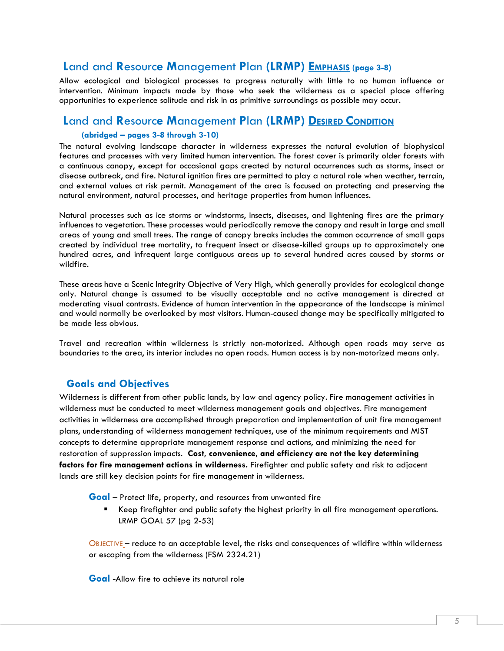### <span id="page-4-0"></span>**L**and and **R**esourc**e M**anagement **P**lan **(LRMP) EMPHASIS (page 3-8)**

Allow ecological and biological processes to progress naturally with little to no human influence or intervention. Minimum impacts made by those who seek the wilderness as a special place offering opportunities to experience solitude and risk in as primitive surroundings as possible may occur.

### <span id="page-4-1"></span>**L**and and **R**esourc**e M**anagement **P**lan **(LRMP) DESIRED CONDITION (abridged – pages 3-8 through 3-10)**

The natural evolving landscape character in wilderness expresses the natural evolution of biophysical features and processes with very limited human intervention. The forest cover is primarily older forests with a continuous canopy, except for occasional gaps created by natural occurrences such as storms, insect or disease outbreak, and fire. Natural ignition fires are permitted to play a natural role when weather, terrain, and external values at risk permit. Management of the area is focused on protecting and preserving the natural environment, natural processes, and heritage properties from human influences.

Natural processes such as ice storms or windstorms, insects, diseases, and lightening fires are the primary influences to vegetation. These processes would periodically remove the canopy and result in large and small areas of young and small trees. The range of canopy breaks includes the common occurrence of small gaps created by individual tree mortality, to frequent insect or disease-killed groups up to approximately one hundred acres, and infrequent large contiguous areas up to several hundred acres caused by storms or wildfire.

These areas have a Scenic Integrity Objective of Very High, which generally provides for ecological change only. Natural change is assumed to be visually acceptable and no active management is directed at moderating visual contrasts. Evidence of human intervention in the appearance of the landscape is minimal and would normally be overlooked by most visitors. Human-caused change may be specifically mitigated to be made less obvious.

<span id="page-4-2"></span>Travel and recreation within wilderness is strictly non-motorized. Although open roads may serve as boundaries to the area, its interior includes no open roads. Human access is by non-motorized means only.

### **Goals and Objectives**

Wilderness is different from other public lands, by law and agency policy. Fire management activities in wilderness must be conducted to meet wilderness management goals and objectives. Fire management activities in wilderness are accomplished through preparation and implementation of unit fire management plans, understanding of wilderness management techniques, use of the minimum requirements and MIST concepts to determine appropriate management response and actions, and minimizing the need for restoration of suppression impacts. **Cost, convenience, and efficiency are not the key determining factors for fire management actions in wilderness.** Firefighter and public safety and risk to adjacent lands are still key decision points for fire management in wilderness.

**Goal** – Protect life, property, and resources from unwanted fire

■ Keep firefighter and public safety the highest priority in all fire management operations. LRMP GOAL 57 (pg 2-53)

OBJECTIVE – reduce to an acceptable level, the risks and consequences of wildfire within wilderness or escaping from the wilderness (FSM 2324.21)

**Goal -**Allow fire to achieve its natural role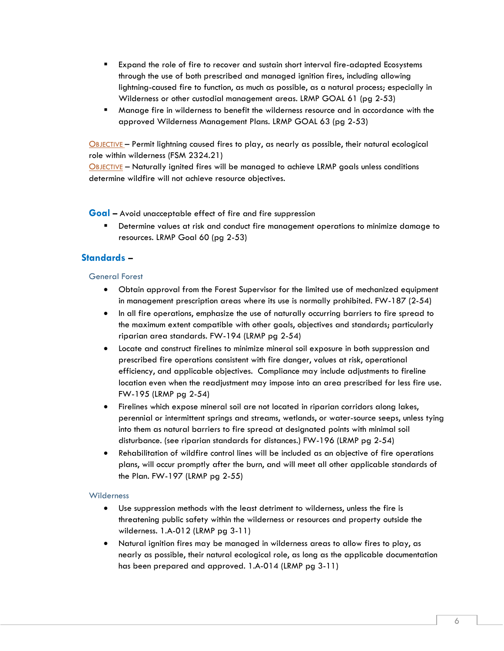- Expand the role of fire to recover and sustain short interval fire-adapted Ecosystems through the use of both prescribed and managed ignition fires, including allowing lightning-caused fire to function, as much as possible, as a natural process; especially in Wilderness or other custodial management areas. LRMP GOAL 61 (pg 2-53)
- Manage fire in wilderness to benefit the wilderness resource and in accordance with the approved Wilderness Management Plans. LRMP GOAL 63 (pg 2-53)

OBJECTIVE – Permit lightning caused fires to play, as nearly as possible, their natural ecological role within wilderness (FSM 2324.21)

OBJECTIVE – Naturally ignited fires will be managed to achieve LRMP goals unless conditions determine wildfire will not achieve resource objectives.

**Goal –** Avoid unacceptable effect of fire and fire suppression

Determine values at risk and conduct fire management operations to minimize damage to resources. LRMP Goal 60 (pg 2-53)

### **Standards –**

#### General Forest

- Obtain approval from the Forest Supervisor for the limited use of mechanized equipment in management prescription areas where its use is normally prohibited. FW-187 (2-54)
- In all fire operations, emphasize the use of naturally occurring barriers to fire spread to the maximum extent compatible with other goals, objectives and standards; particularly riparian area standards. FW-194 (LRMP pg 2-54)
- Locate and construct firelines to minimize mineral soil exposure in both suppression and prescribed fire operations consistent with fire danger, values at risk, operational efficiency, and applicable objectives. Compliance may include adjustments to fireline location even when the readjustment may impose into an area prescribed for less fire use. FW-195 (LRMP pg 2-54)
- Firelines which expose mineral soil are not located in riparian corridors along lakes, perennial or intermittent springs and streams, wetlands, or water-source seeps, unless tying into them as natural barriers to fire spread at designated points with minimal soil disturbance. (see riparian standards for distances.) FW-196 (LRMP pg 2-54)
- Rehabilitation of wildfire control lines will be included as an objective of fire operations plans, will occur promptly after the burn, and will meet all other applicable standards of the Plan. FW-197 (LRMP pg 2-55)

#### **Wilderness**

- Use suppression methods with the least detriment to wilderness, unless the fire is threatening public safety within the wilderness or resources and property outside the wilderness. 1.A-012 (LRMP pg 3-11)
- Natural ignition fires may be managed in wilderness areas to allow fires to play, as nearly as possible, their natural ecological role, as long as the applicable documentation has been prepared and approved. 1.A-014 (LRMP pg 3-11)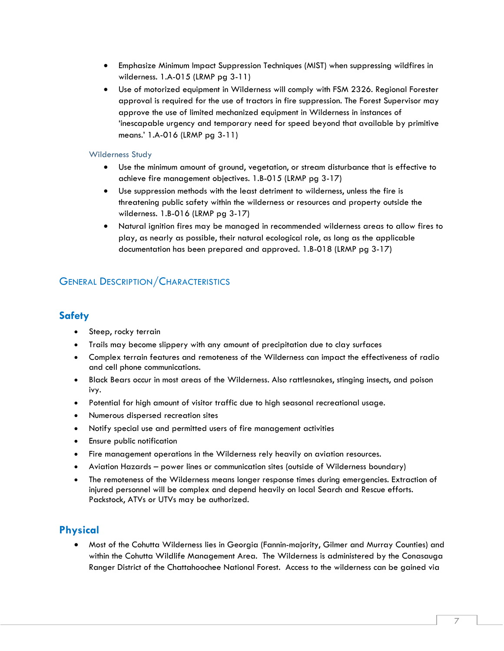- Emphasize Minimum Impact Suppression Techniques (MIST) when suppressing wildfires in wilderness. 1.A-015 (LRMP pg 3-11)
- Use of motorized equipment in Wilderness will comply with FSM 2326. Regional Forester approval is required for the use of tractors in fire suppression. The Forest Supervisor may approve the use of limited mechanized equipment in Wilderness in instances of 'inescapable urgency and temporary need for speed beyond that available by primitive means.' 1.A-016 (LRMP pg 3-11)

#### Wilderness Study

- Use the minimum amount of ground, vegetation, or stream disturbance that is effective to achieve fire management objectives. 1.B-015 (LRMP pg 3-17)
- Use suppression methods with the least detriment to wilderness, unless the fire is threatening public safety within the wilderness or resources and property outside the wilderness. 1.B-016 (LRMP pg 3-17)
- Natural ignition fires may be managed in recommended wilderness areas to allow fires to play, as nearly as possible, their natural ecological role, as long as the applicable documentation has been prepared and approved. 1.B-018 (LRMP pg 3-17)

### <span id="page-6-1"></span><span id="page-6-0"></span>GENERAL DESCRIPTION/CHARACTERISTICS

### **Safety**

- Steep, rocky terrain
- Trails may become slippery with any amount of precipitation due to clay surfaces
- Complex terrain features and remoteness of the Wilderness can impact the effectiveness of radio and cell phone communications.
- Black Bears occur in most areas of the Wilderness. Also rattlesnakes, stinging insects, and poison ivy.
- Potential for high amount of visitor traffic due to high seasonal recreational usage.
- Numerous dispersed recreation sites
- Notify special use and permitted users of fire management activities
- Ensure public notification
- Fire management operations in the Wilderness rely heavily on aviation resources.
- Aviation Hazards power lines or communication sites (outside of Wilderness boundary)
- The remoteness of the Wilderness means longer response times during emergencies. Extraction of injured personnel will be complex and depend heavily on local Search and Rescue efforts. Packstock, ATVs or UTVs may be authorized.

### <span id="page-6-2"></span>**Physical**

• Most of the Cohutta Wilderness lies in Georgia (Fannin-majority, Gilmer and Murray Counties) and within the Cohutta Wildlife Management Area. The Wilderness is administered by the Conasauga Ranger District of the Chattahoochee National Forest. Access to the wilderness can be gained via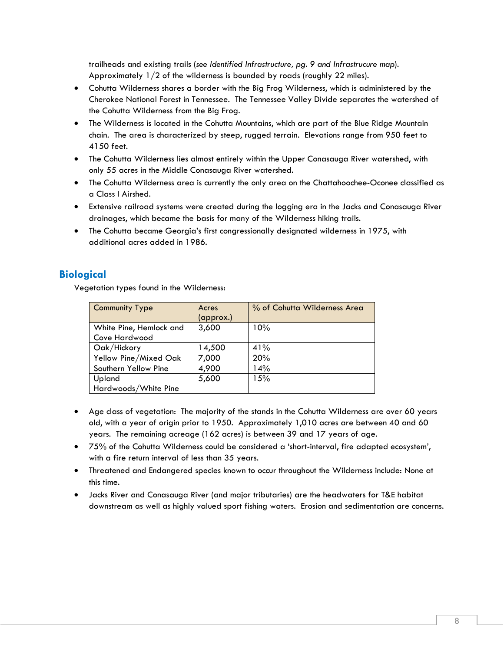trailheads and existing trails (*see Identified Infrastructure, pg. 9 and Infrastrucure map*). Approximately 1/2 of the wilderness is bounded by roads (roughly 22 miles).

- Cohutta Wilderness shares a border with the Big Frog Wilderness, which is administered by the Cherokee National Forest in Tennessee. The Tennessee Valley Divide separates the watershed of the Cohutta Wilderness from the Big Frog.
- The Wilderness is located in the Cohutta Mountains, which are part of the Blue Ridge Mountain chain. The area is characterized by steep, rugged terrain. Elevations range from 950 feet to 4150 feet.
- The Cohutta Wilderness lies almost entirely within the Upper Conasauga River watershed, with only 55 acres in the Middle Conasauga River watershed.
- The Cohutta Wilderness area is currently the only area on the Chattahoochee-Oconee classified as a Class I Airshed.
- Extensive railroad systems were created during the logging era in the Jacks and Conasauga River drainages, which became the basis for many of the Wilderness hiking trails.
- The Cohutta became Georgia's first congressionally designated wilderness in 1975, with additional acres added in 1986.

### <span id="page-7-0"></span>**Biological**

Vegetation types found in the Wilderness:

| <b>Community Type</b>   | Acres     | % of Cohutta Wilderness Area |
|-------------------------|-----------|------------------------------|
|                         | (approx.) |                              |
| White Pine, Hemlock and | 3,600     | 10%                          |
| Cove Hardwood           |           |                              |
| Oak/Hickory             | 14,500    | 41%                          |
| Yellow Pine/Mixed Oak   | 7,000     | 20%                          |
| Southern Yellow Pine    | 4,900     | 14%                          |
| Upland                  | 5,600     | 15%                          |
| Hardwoods/White Pine    |           |                              |

- Age class of vegetation: The majority of the stands in the Cohutta Wilderness are over 60 years old, with a year of origin prior to 1950. Approximately 1,010 acres are between 40 and 60 years. The remaining acreage (162 acres) is between 39 and 17 years of age.
- 75% of the Cohutta Wilderness could be considered a 'short-interval, fire adapted ecosystem', with a fire return interval of less than 35 years.
- Threatened and Endangered species known to occur throughout the Wilderness include: None at this time.
- Jacks River and Conasauga River (and major tributaries) are the headwaters for T&E habitat downstream as well as highly valued sport fishing waters. Erosion and sedimentation are concerns.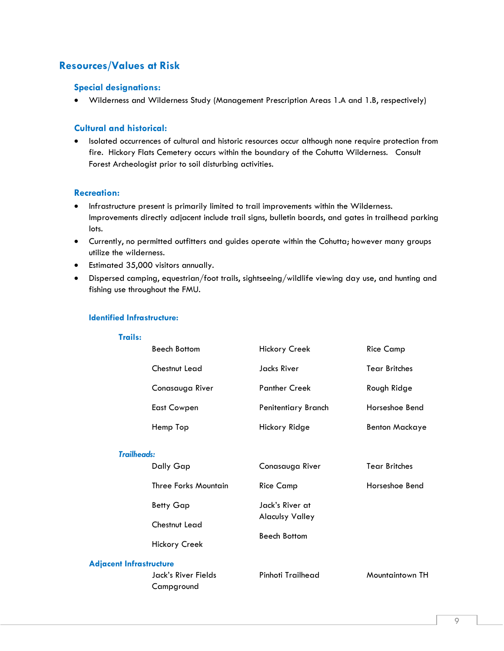## <span id="page-8-1"></span><span id="page-8-0"></span>**Resources/Values at Risk**

#### **Special designations:**

• Wilderness and Wilderness Study (Management Prescription Areas 1.A and 1.B, respectively)

#### <span id="page-8-2"></span>**Cultural and historical:**

• Isolated occurrences of cultural and historic resources occur although none require protection from fire. Hickory Flats Cemetery occurs within the boundary of the Cohutta Wilderness. Consult Forest Archeologist prior to soil disturbing activities.

#### <span id="page-8-3"></span>**Recreation:**

- Infrastructure present is primarily limited to trail improvements within the Wilderness. Improvements directly adjacent include trail signs, bulletin boards, and gates in trailhead parking lots.
- Currently, no permitted outfitters and guides operate within the Cohutta; however many groups utilize the wilderness.
- Estimated 35,000 visitors annually.
- Dispersed camping, equestrian/foot trails, sightseeing/wildlife viewing day use, and hunting and fishing use throughout the FMU.

#### <span id="page-8-4"></span>**Identified Infrastructure:**

<span id="page-8-5"></span>

| панз:                          |                                             |                        |                       |
|--------------------------------|---------------------------------------------|------------------------|-----------------------|
|                                | <b>Beech Bottom</b>                         | <b>Hickory Creek</b>   | <b>Rice Camp</b>      |
|                                | Chestnut Lead                               | Jacks River            | <b>Tear Britches</b>  |
|                                | Conasauga River                             | <b>Panther Creek</b>   | Rough Ridge           |
|                                | <b>East Cowpen</b>                          | Penitentiary Branch    | Horseshoe Bend        |
|                                | Hemp Top                                    | Hickory Ridge          | <b>Benton Mackaye</b> |
| <b>Trailheads:</b>             |                                             |                        |                       |
|                                | Dally Gap                                   | Conasauga River        | <b>Tear Britches</b>  |
|                                | <b>Three Forks Mountain</b>                 | <b>Rice Camp</b>       | Horseshoe Bend        |
|                                | <b>Betty Gap</b>                            | Jack's River at        |                       |
|                                | Chestnut Lead                               | <b>Alaculsy Valley</b> |                       |
|                                | <b>Beech Bottom</b><br><b>Hickory Creek</b> |                        |                       |
| <b>Adjacent Infrastructure</b> |                                             |                        |                       |
|                                | Jack's River Fields<br>Campground           | Pinhoti Trailhead      | Mountaintown TH       |

#### **Trails:**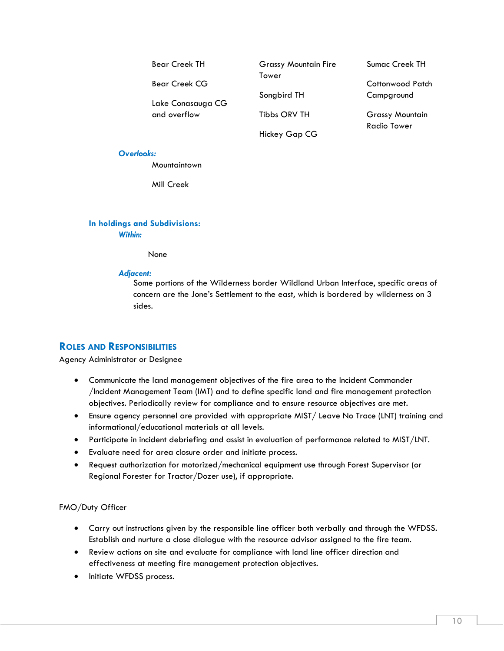| <b>Bear Creek TH</b> | <b>Grassy Mountain Fire</b> | <b>Sumac Creek TH</b>  |
|----------------------|-----------------------------|------------------------|
| <b>Bear Creek CG</b> | Tower                       | Cottonwood Patch       |
| Lake Conasauga CG    | Songbird TH                 | Campground             |
| and overflow         | Tibbs ORV TH                | <b>Grassy Mountain</b> |
|                      | Hickey Gap CG               | <b>Radio Tower</b>     |

#### *Overlooks:*

Mountaintown

Mill Creek

#### <span id="page-9-0"></span>**In holdings and Subdivisions:** *Within:*

None

#### *Adjacent:*

Some portions of the Wilderness border Wildland Urban Interface, specific areas of concern are the Jone's Settlement to the east, which is bordered by wilderness on 3 sides.

### <span id="page-9-1"></span>**ROLES AND RESPONSIBILITIES**

#### Agency Administrator or Designee

- Communicate the land management objectives of the fire area to the Incident Commander /Incident Management Team (IMT) and to define specific land and fire management protection objectives. Periodically review for compliance and to ensure resource objectives are met.
- Ensure agency personnel are provided with appropriate MIST/ Leave No Trace (LNT) training and informational/educational materials at all levels.
- Participate in incident debriefing and assist in evaluation of performance related to MIST/LNT.
- Evaluate need for area closure order and initiate process.
- Request authorization for motorized/mechanical equipment use through Forest Supervisor (or Regional Forester for Tractor/Dozer use), if appropriate.

#### FMO/Duty Officer

- Carry out instructions given by the responsible line officer both verbally and through the WFDSS. Establish and nurture a close dialogue with the resource advisor assigned to the fire team.
- Review actions on site and evaluate for compliance with land line officer direction and effectiveness at meeting fire management protection objectives.
- Initiate WFDSS process.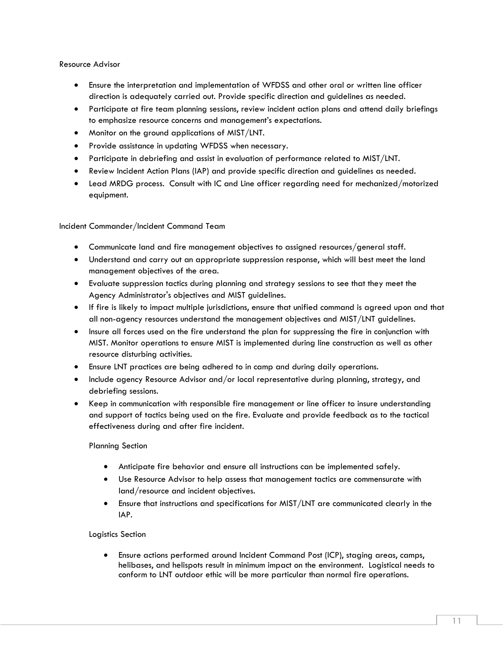#### Resource Advisor

- Ensure the interpretation and implementation of WFDSS and other oral or written line officer direction is adequately carried out. Provide specific direction and guidelines as needed.
- Participate at fire team planning sessions, review incident action plans and attend daily briefings to emphasize resource concerns and management's expectations.
- Monitor on the ground applications of MIST/LNT.
- Provide assistance in updating WFDSS when necessary.
- Participate in debriefing and assist in evaluation of performance related to MIST/LNT.
- Review Incident Action Plans (IAP) and provide specific direction and guidelines as needed.
- Lead MRDG process. Consult with IC and Line officer regarding need for mechanized/motorized equipment.

Incident Commander/Incident Command Team

- Communicate land and fire management objectives to assigned resources/general staff.
- Understand and carry out an appropriate suppression response, which will best meet the land management objectives of the area.
- Evaluate suppression tactics during planning and strategy sessions to see that they meet the Agency Administrator's objectives and MIST guidelines.
- If fire is likely to impact multiple jurisdictions, ensure that unified command is agreed upon and that all non-agency resources understand the management objectives and MIST/LNT guidelines.
- Insure all forces used on the fire understand the plan for suppressing the fire in conjunction with MIST. Monitor operations to ensure MIST is implemented during line construction as well as other resource disturbing activities.
- Ensure LNT practices are being adhered to in camp and during daily operations.
- Include agency Resource Advisor and/or local representative during planning, strategy, and debriefing sessions.
- Keep in communication with responsible fire management or line officer to insure understanding and support of tactics being used on the fire. Evaluate and provide feedback as to the tactical effectiveness during and after fire incident.

#### Planning Section

- Anticipate fire behavior and ensure all instructions can be implemented safely.
- Use Resource Advisor to help assess that management tactics are commensurate with land/resource and incident objectives.
- Ensure that instructions and specifications for MIST/LNT are communicated clearly in the IAP.

#### Logistics Section

• Ensure actions performed around Incident Command Post (ICP), staging areas, camps, helibases, and helispots result in minimum impact on the environment. Logistical needs to conform to LNT outdoor ethic will be more particular than normal fire operations.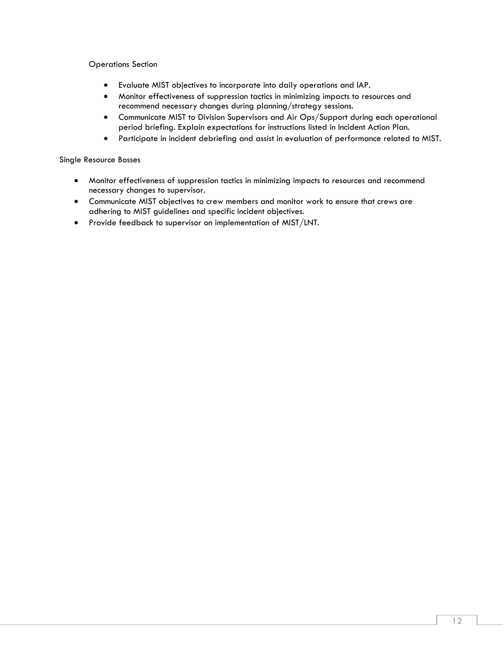Operations Section

- Evaluate MIST objectives to incorporate into daily operations and IAP.
- Monitor effectiveness of suppression tactics in minimizing impacts to resources and recommend necessary changes during planning/strategy sessions.
- Communicate MIST to Division Supervisors and Air Ops/Support during each operational period briefing. Explain expectations for instructions listed in Incident Action Plan.
- Participate in incident debriefing and assist in evaluation of performance related to MIST.

#### Single Resource Bosses

- Monitor effectiveness of suppression tactics in minimizing impacts to resources and recommend necessary changes to supervisor.
- Communicate MIST objectives to crew members and monitor work to ensure that crews are adhering to MIST guidelines and specific incident objectives.
- Provide feedback to supervisor on implementation of MIST/LNT.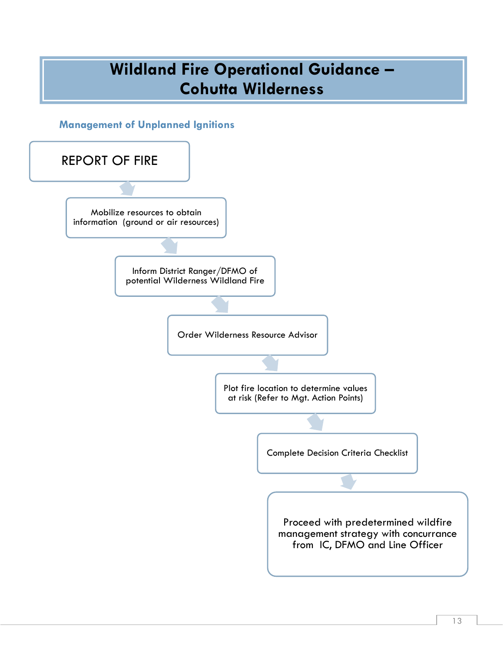## **Wildland Fire Operational Guidance – Cohutta Wilderness**

<span id="page-12-0"></span>**Management of Unplanned Ignitions** 

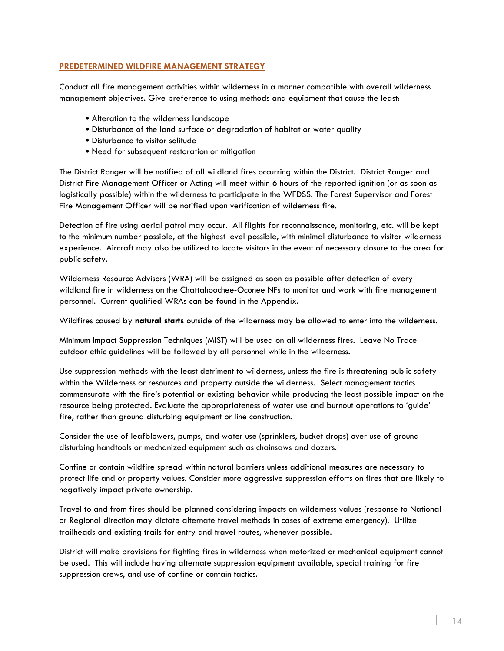#### **PREDETERMINED WILDFIRE MANAGEMENT STRATEGY**

Conduct all fire management activities within wilderness in a manner compatible with overall wilderness management objectives. Give preference to using methods and equipment that cause the least:

- Alteration to the wilderness landscape
- Disturbance of the land surface or degradation of habitat or water quality
- Disturbance to visitor solitude
- Need for subsequent restoration or mitigation

The District Ranger will be notified of all wildland fires occurring within the District. District Ranger and District Fire Management Officer or Acting will meet within 6 hours of the reported ignition (or as soon as logistically possible) within the wilderness to participate in the WFDSS. The Forest Supervisor and Forest Fire Management Officer will be notified upon verification of wilderness fire.

Detection of fire using aerial patrol may occur. All flights for reconnaissance, monitoring, etc. will be kept to the minimum number possible, at the highest level possible, with minimal disturbance to visitor wilderness experience. Aircraft may also be utilized to locate visitors in the event of necessary closure to the area for public safety.

Wilderness Resource Advisors (WRA) will be assigned as soon as possible after detection of every wildland fire in wilderness on the Chattahoochee-Oconee NFs to monitor and work with fire management personnel. Current qualified WRAs can be found in the Appendix.

Wildfires caused by **natural starts** outside of the wilderness may be allowed to enter into the wilderness.

Minimum Impact Suppression Techniques (MIST) will be used on all wilderness fires. Leave No Trace outdoor ethic guidelines will be followed by all personnel while in the wilderness.

Use suppression methods with the least detriment to wilderness, unless the fire is threatening public safety within the Wilderness or resources and property outside the wilderness. Select management tactics commensurate with the fire's potential or existing behavior while producing the least possible impact on the resource being protected. Evaluate the appropriateness of water use and burnout operations to 'guide' fire, rather than ground disturbing equipment or line construction.

Consider the use of leafblowers, pumps, and water use (sprinklers, bucket drops) over use of ground disturbing handtools or mechanized equipment such as chainsaws and dozers.

Confine or contain wildfire spread within natural barriers unless additional measures are necessary to protect life and or property values. Consider more aggressive suppression efforts on fires that are likely to negatively impact private ownership.

Travel to and from fires should be planned considering impacts on wilderness values (response to National or Regional direction may dictate alternate travel methods in cases of extreme emergency). Utilize trailheads and existing trails for entry and travel routes, whenever possible.

District will make provisions for fighting fires in wilderness when motorized or mechanical equipment cannot be used. This will include having alternate suppression equipment available, special training for fire suppression crews, and use of confine or contain tactics.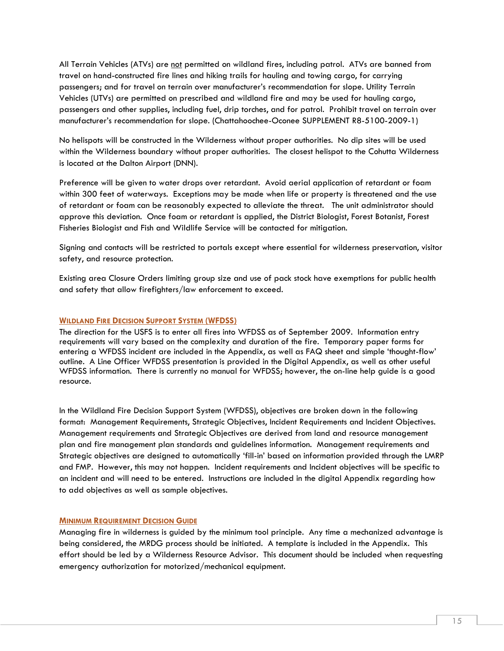All Terrain Vehicles (ATVs) are not permitted on wildland fires, including patrol. ATVs are banned from travel on hand-constructed fire lines and hiking trails for hauling and towing cargo, for carrying passengers; and for travel on terrain over manufacturer's recommendation for slope. Utility Terrain Vehicles (UTVs) are permitted on prescribed and wildland fire and may be used for hauling cargo, passengers and other supplies, including fuel, drip torches, and for patrol. Prohibit travel on terrain over manufacturer's recommendation for slope. (Chattahoochee-Oconee SUPPLEMENT R8-5100-2009-1)

No helispots will be constructed in the Wilderness without proper authorities. No dip sites will be used within the Wilderness boundary without proper authorities. The closest helispot to the Cohutta Wilderness is located at the Dalton Airport (DNN).

Preference will be given to water drops over retardant. Avoid aerial application of retardant or foam within 300 feet of waterways. Exceptions may be made when life or property is threatened and the use of retardant or foam can be reasonably expected to alleviate the threat. The unit administrator should approve this deviation. Once foam or retardant is applied, the District Biologist, Forest Botanist, Forest Fisheries Biologist and Fish and Wildlife Service will be contacted for mitigation.

Signing and contacts will be restricted to portals except where essential for wilderness preservation, visitor safety, and resource protection.

Existing area Closure Orders limiting group size and use of pack stock have exemptions for public health and safety that allow firefighters/law enforcement to exceed.

#### <span id="page-14-0"></span>**WILDLAND FIRE DECISION SUPPORT SYSTEM (WFDSS)**

The direction for the USFS is to enter all fires into WFDSS as of September 2009. Information entry requirements will vary based on the complexity and duration of the fire. Temporary paper forms for entering a WFDSS incident are included in the Appendix, as well as FAQ sheet and simple 'thought-flow' outline. A Line Officer WFDSS presentation is provided in the Digital Appendix, as well as other useful WFDSS information. There is currently no manual for WFDSS; however, the on-line help guide is a good resource.

In the Wildland Fire Decision Support System (WFDSS), objectives are broken down in the following format: Management Requirements, Strategic Objectives, Incident Requirements and Incident Objectives. Management requirements and Strategic Objectives are derived from land and resource management plan and fire management plan standards and guidelines information. Management requirements and Strategic objectives are designed to automatically 'fill-in' based on information provided through the LMRP and FMP. However, this may not happen. Incident requirements and Incident objectives will be specific to an incident and will need to be entered. Instructions are included in the digital Appendix regarding how to add objectives as well as sample objectives.

#### <span id="page-14-1"></span>**MINIMUM REQUIREMENT DECISION GUIDE**

Managing fire in wilderness is guided by the minimum tool principle. Any time a mechanized advantage is being considered, the MRDG process should be initiated. A template is included in the Appendix. This effort should be led by a Wilderness Resource Advisor. This document should be included when requesting emergency authorization for motorized/mechanical equipment.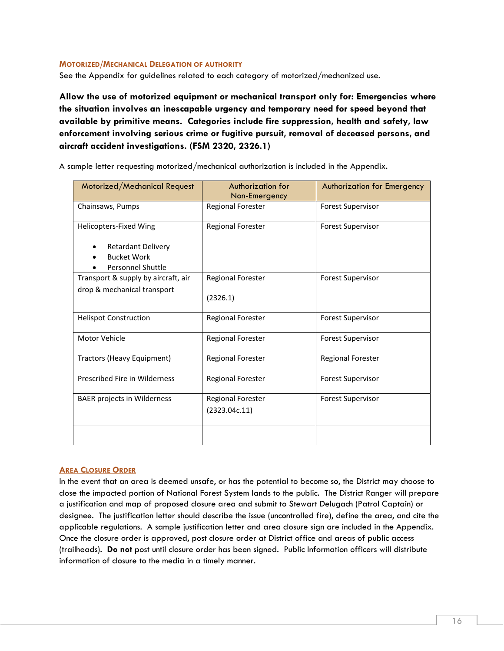#### <span id="page-15-0"></span>**MOTORIZED/MECHANICAL DELEGATION OF AUTHORITY**

See the Appendix for guidelines related to each category of motorized/mechanized use.

**Allow the use of motorized equipment or mechanical transport only for: Emergencies where the situation involves an inescapable urgency and temporary need for speed beyond that available by primitive means. Categories include fire suppression, health and safety, law enforcement involving serious crime or fugitive pursuit, removal of deceased persons, and aircraft accident investigations. (FSM 2320, 2326.1)**

A sample letter requesting motorized/mechanical authorization is included in the Appendix.

| Motorized/Mechanical Request                                                                          | Authorization for<br>Non-Emergency        | <b>Authorization for Emergency</b> |
|-------------------------------------------------------------------------------------------------------|-------------------------------------------|------------------------------------|
| Chainsaws, Pumps                                                                                      | <b>Regional Forester</b>                  | <b>Forest Supervisor</b>           |
| Helicopters-Fixed Wing<br><b>Retardant Delivery</b><br><b>Bucket Work</b><br><b>Personnel Shuttle</b> | <b>Regional Forester</b>                  | <b>Forest Supervisor</b>           |
| Transport & supply by aircraft, air<br>drop & mechanical transport                                    | <b>Regional Forester</b><br>(2326.1)      | <b>Forest Supervisor</b>           |
| <b>Helispot Construction</b>                                                                          | <b>Regional Forester</b>                  | <b>Forest Supervisor</b>           |
| Motor Vehicle                                                                                         | <b>Regional Forester</b>                  | <b>Forest Supervisor</b>           |
| Tractors (Heavy Equipment)                                                                            | Regional Forester                         | <b>Regional Forester</b>           |
| Prescribed Fire in Wilderness                                                                         | <b>Regional Forester</b>                  | <b>Forest Supervisor</b>           |
| <b>BAER projects in Wilderness</b>                                                                    | <b>Regional Forester</b><br>(2323.04c.11) | <b>Forest Supervisor</b>           |
|                                                                                                       |                                           |                                    |

#### <span id="page-15-1"></span>**AREA CLOSURE ORDER**

In the event that an area is deemed unsafe, or has the potential to become so, the District may choose to close the impacted portion of National Forest System lands to the public. The District Ranger will prepare a justification and map of proposed closure area and submit to Stewart Delugach (Patrol Captain) or designee. The justification letter should describe the issue (uncontrolled fire), define the area, and cite the applicable regulations. A sample justification letter and area closure sign are included in the Appendix. Once the closure order is approved, post closure order at District office and areas of public access (trailheads). **Do not** post until closure order has been signed. Public Information officers will distribute information of closure to the media in a timely manner.